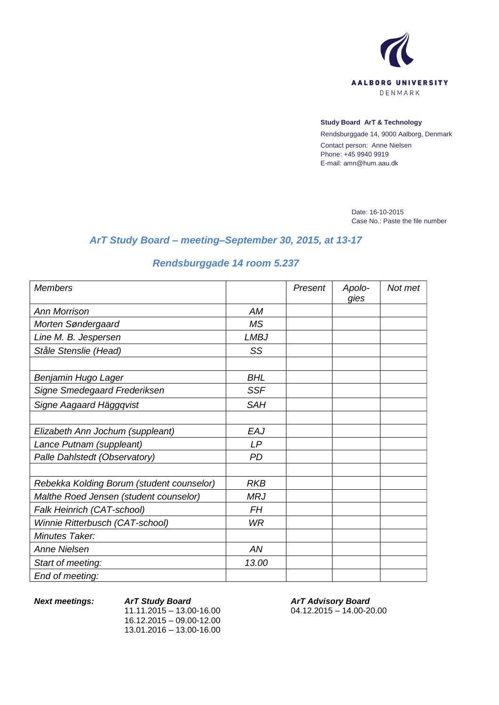

## **Study Board ArT & Technology**

Rendsburggade 14, 9000 Aalborg, Denmark Contact person: Anne Nielsen Phone: +45 9940 9919 E-mail: amn@hum.aau.dk

> Date: 16-10-2015 Case No.: Paste the file number

## *ArT Study Board – meeting–September 30, 2015, at 13-17*

## *Rendsburggade 14 room 5.237*

| Members                                   |             | Present | Apolo-<br>gies | Not met |
|-------------------------------------------|-------------|---------|----------------|---------|
| <b>Ann Morrison</b>                       | <b>AM</b>   |         |                |         |
| Morten Søndergaard                        | <b>MS</b>   |         |                |         |
| Line M. B. Jespersen                      | <b>LMBJ</b> |         |                |         |
| Ståle Stenslie (Head)                     | SS          |         |                |         |
|                                           |             |         |                |         |
| Benjamin Hugo Lager                       | <b>BHL</b>  |         |                |         |
| Signe Smedegaard Frederiksen              | <b>SSF</b>  |         |                |         |
| Signe Aagaard Häggqvist                   | <b>SAH</b>  |         |                |         |
|                                           |             |         |                |         |
| Elizabeth Ann Jochum (suppleant)          | EAJ         |         |                |         |
| Lance Putnam (suppleant)                  | LP          |         |                |         |
| Palle Dahlstedt (Observatory)             | <b>PD</b>   |         |                |         |
|                                           |             |         |                |         |
| Rebekka Kolding Borum (student counselor) | <b>RKB</b>  |         |                |         |
| Malthe Roed Jensen (student counselor)    | <b>MRJ</b>  |         |                |         |
| Falk Heinrich (CAT-school)                | FH          |         |                |         |
| Winnie Ritterbusch (CAT-school)           | <b>WR</b>   |         |                |         |
| Minutes Taker:                            |             |         |                |         |
| <b>Anne Nielsen</b>                       | AN          |         |                |         |
| Start of meeting:                         | 13.00       |         |                |         |
| End of meeting:                           |             |         |                |         |

*Next meetings: ArT Study Board*  $11.11.2015 - 13.00 - 16.00$ 16.12.2015 – 09.00-12.00 13.01.2016 – 13.00-16.00

*ArT Advisory Board* 04.12.2015 – 14.00-20.00